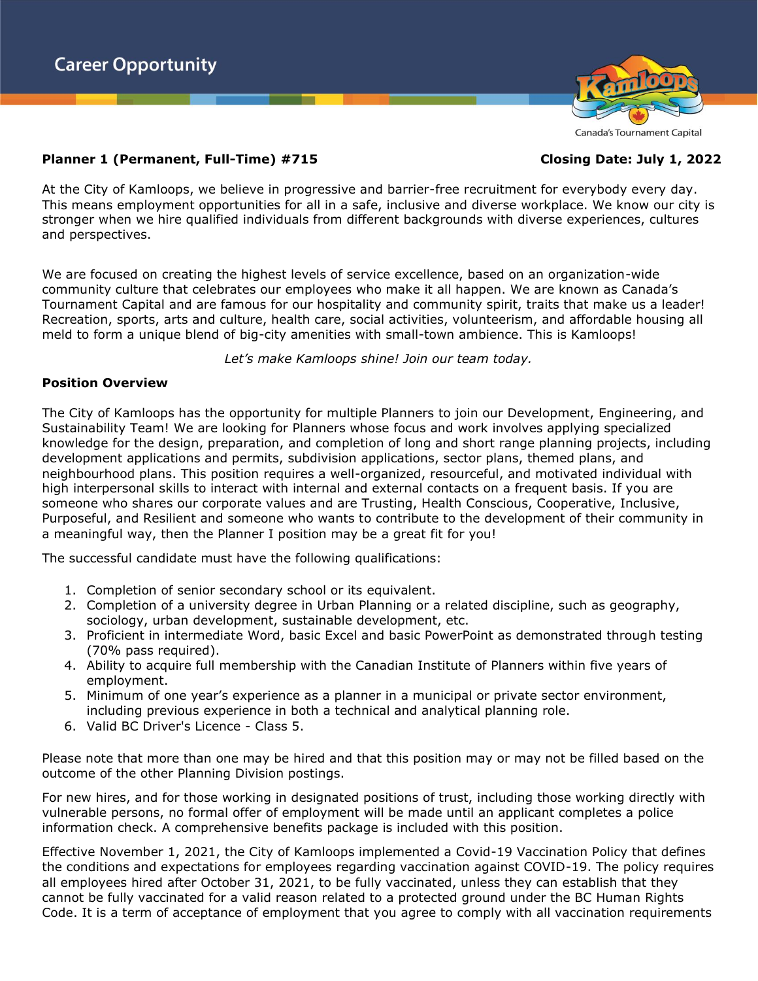

At the City of Kamloops, we believe in progressive and barrier-free recruitment for everybody every day. This means employment opportunities for all in a safe, inclusive and diverse workplace. We know our city is stronger when we hire qualified individuals from different backgrounds with diverse experiences, cultures and perspectives.

We are focused on creating the highest levels of service excellence, based on an organization-wide community culture that celebrates our employees who make it all happen. We are known as Canada's Tournament Capital and are famous for our hospitality and community spirit, traits that make us a leader! Recreation, sports, arts and culture, health care, social activities, volunteerism, and affordable housing all meld to form a unique blend of big-city amenities with small-town ambience. This is Kamloops!

*Let's make Kamloops shine! Join our team today.*

# **Position Overview**

The City of Kamloops has the opportunity for multiple Planners to join our Development, Engineering, and Sustainability Team! We are looking for Planners whose focus and work involves applying specialized knowledge for the design, preparation, and completion of long and short range planning projects, including development applications and permits, subdivision applications, sector plans, themed plans, and neighbourhood plans. This position requires a well-organized, resourceful, and motivated individual with high interpersonal skills to interact with internal and external contacts on a frequent basis. If you are someone who shares our corporate values and are Trusting, Health Conscious, Cooperative, Inclusive, Purposeful, and Resilient and someone who wants to contribute to the development of their community in a meaningful way, then the Planner I position may be a great fit for you!

The successful candidate must have the following qualifications:

- 1. Completion of senior secondary school or its equivalent.
- 2. Completion of a university degree in Urban Planning or a related discipline, such as geography, sociology, urban development, sustainable development, etc.
- 3. Proficient in intermediate Word, basic Excel and basic PowerPoint as demonstrated through testing (70% pass required).
- 4. Ability to acquire full membership with the Canadian Institute of Planners within five years of employment.
- 5. Minimum of one year's experience as a planner in a municipal or private sector environment, including previous experience in both a technical and analytical planning role.
- 6. Valid BC Driver's Licence Class 5.

Please note that more than one may be hired and that this position may or may not be filled based on the outcome of the other Planning Division postings.

For new hires, and for those working in designated positions of trust, including those working directly with vulnerable persons, no formal offer of employment will be made until an applicant completes a police information check. A comprehensive benefits package is included with this position.

Effective November 1, 2021, the City of Kamloops implemented a Covid-19 Vaccination Policy that defines the conditions and expectations for employees regarding vaccination against COVID-19. The policy requires all employees hired after October 31, 2021, to be fully vaccinated, unless they can establish that they cannot be fully vaccinated for a valid reason related to a protected ground under the BC Human Rights Code. It is a term of acceptance of employment that you agree to comply with all vaccination requirements